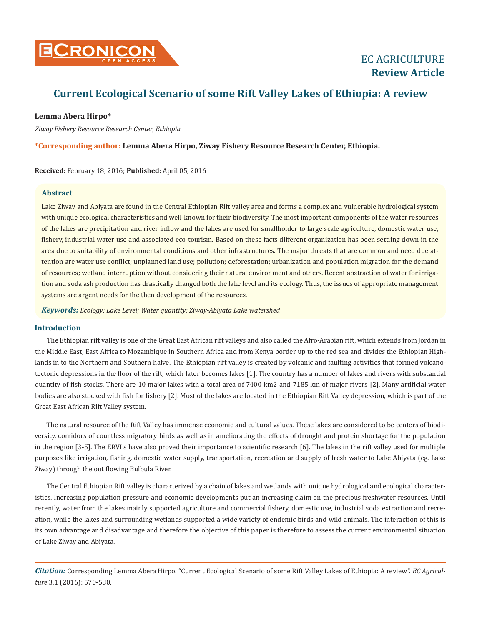

# **Current Ecological Scenario of some Rift Valley Lakes of Ethiopia: A review**

# **Lemma Abera Hirpo\***

*Ziway Fishery Resource Research Center, Ethiopia*

# **\*Corresponding author: Lemma Abera Hirpo, Ziway Fishery Resource Research Center, Ethiopia.**

**Received:** February 18, 2016; **Published:** April 05, 2016

# **Abstract**

Lake Ziway and Abiyata are found in the Central Ethiopian Rift valley area and forms a complex and vulnerable hydrological system with unique ecological characteristics and well-known for their biodiversity. The most important components of the water resources of the lakes are precipitation and river inflow and the lakes are used for smallholder to large scale agriculture, domestic water use, fishery, industrial water use and associated eco-tourism. Based on these facts different organization has been settling down in the area due to suitability of environmental conditions and other infrastructures. The major threats that are common and need due attention are water use conflict; unplanned land use; pollution; deforestation; urbanization and population migration for the demand of resources; wetland interruption without considering their natural environment and others. Recent abstraction of water for irrigation and soda ash production has drastically changed both the lake level and its ecology. Thus, the issues of appropriate management systems are argent needs for the then development of the resources.

*Keywords: Ecology; Lake Level; Water quantity; Ziway-Abiyata Lake watershed*

## **Introduction**

The Ethiopian rift valley is one of the Great East African rift valleys and also called the Afro-Arabian rift, which extends from Jordan in the Middle East, East Africa to Mozambique in Southern Africa and from Kenya border up to the red sea and divides the Ethiopian Highlands in to the Northern and Southern halve. The Ethiopian rift valley is created by volcanic and faulting activities that formed volcanotectonic depressions in the floor of the rift, which later becomes lakes [1]. The country has a number of lakes and rivers with substantial quantity of fish stocks. There are 10 major lakes with a total area of 7400 km2 and 7185 km of major rivers [2]. Many artificial water bodies are also stocked with fish for fishery [2]. Most of the lakes are located in the Ethiopian Rift Valley depression, which is part of the Great East African Rift Valley system.

The natural resource of the Rift Valley has immense economic and cultural values. These lakes are considered to be centers of biodiversity, corridors of countless migratory birds as well as in ameliorating the effects of drought and protein shortage for the population in the region [3-5]. The ERVLs have also proved their importance to scientific research [6]. The lakes in the rift valley used for multiple purposes like irrigation, fishing, domestic water supply, transportation, recreation and supply of fresh water to Lake Abiyata (eg. Lake Ziway) through the out flowing Bulbula River.

The Central Ethiopian Rift valley is characterized by a chain of lakes and wetlands with unique hydrological and ecological characteristics. Increasing population pressure and economic developments put an increasing claim on the precious freshwater resources. Until recently, water from the lakes mainly supported agriculture and commercial fishery, domestic use, industrial soda extraction and recreation, while the lakes and surrounding wetlands supported a wide variety of endemic birds and wild animals. The interaction of this is its own advantage and disadvantage and therefore the objective of this paper is therefore to assess the current environmental situation of Lake Ziway and Abiyata.

*Citation:* Corresponding Lemma Abera Hirpo. "Current Ecological Scenario of some Rift Valley Lakes of Ethiopia: A review". *EC Agriculture* 3.1 (2016): 570-580.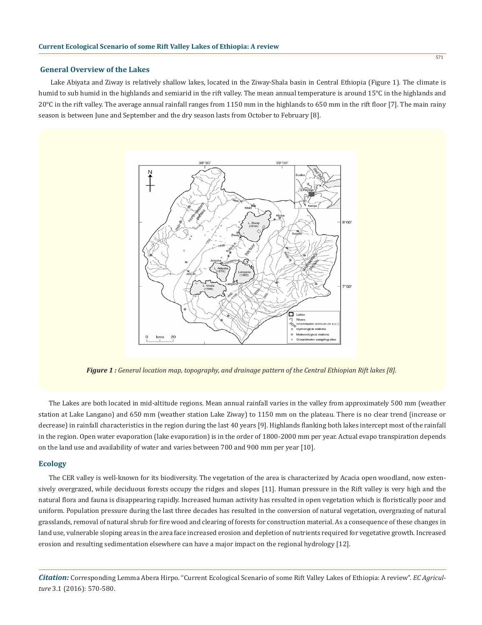## **General Overview of the Lakes**

Lake Abiyata and Ziway is relatively shallow lakes, located in the Ziway-Shala basin in Central Ethiopia (Figure 1). The climate is humid to sub humid in the highlands and semiarid in the rift valley. The mean annual temperature is around 15°C in the highlands and 20°C in the rift valley. The average annual rainfall ranges from 1150 mm in the highlands to 650 mm in the rift floor [7]. The main rainy season is between June and September and the dry season lasts from October to February [8].



*Figure 1 : General location map, topography, and drainage pattern of the Central Ethiopian Rift lakes [8].*

The Lakes are both located in mid-altitude regions. Mean annual rainfall varies in the valley from approximately 500 mm (weather station at Lake Langano) and 650 mm (weather station Lake Ziway) to 1150 mm on the plateau. There is no clear trend (increase or decrease) in rainfall characteristics in the region during the last 40 years [9]. Highlands flanking both lakes intercept most of the rainfall in the region. Open water evaporation (lake evaporation) is in the order of 1800-2000 mm per year. Actual evapo transpiration depends on the land use and availability of water and varies between 700 and 900 mm per year [10].

#### **Ecology**

The CER valley is well-known for its biodiversity. The vegetation of the area is characterized by Acacia open woodland, now extensively overgrazed, while deciduous forests occupy the ridges and slopes [11]. Human pressure in the Rift valley is very high and the natural flora and fauna is disappearing rapidly. Increased human activity has resulted in open vegetation which is floristically poor and uniform. Population pressure during the last three decades has resulted in the conversion of natural vegetation, overgrazing of natural grasslands, removal of natural shrub for fire wood and clearing of forests for construction material. As a consequence of these changes in land use, vulnerable sloping areas in the area face increased erosion and depletion of nutrients required for vegetative growth. Increased erosion and resulting sedimentation elsewhere can have a major impact on the regional hydrology [12].

*Citation:* Corresponding Lemma Abera Hirpo. "Current Ecological Scenario of some Rift Valley Lakes of Ethiopia: A review". *EC Agriculture* 3.1 (2016): 570-580.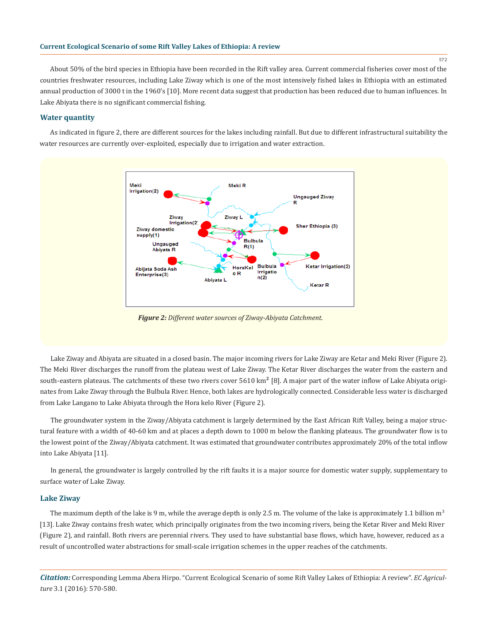About 50% of the bird species in Ethiopia have been recorded in the Rift valley area. Current commercial fisheries cover most of the countries freshwater resources, including Lake Ziway which is one of the most intensively fished lakes in Ethiopia with an estimated annual production of 3000 t in the 1960's [10]. More recent data suggest that production has been reduced due to human influences. In Lake Abiyata there is no significant commercial fishing.

## **Water quantity**

As indicated in figure 2, there are different sources for the lakes including rainfall. But due to different infrastructural suitability the water resources are currently over-exploited, especially due to irrigation and water extraction.



*Figure 2: Different water sources of Ziway-Abiyata Catchment.*

Lake Ziway and Abiyata are situated in a closed basin. The major incoming rivers for Lake Ziway are Ketar and Meki River (Figure 2). The Meki River discharges the runoff from the plateau west of Lake Ziway. The Ketar River discharges the water from the eastern and south-eastern plateaus. The catchments of these two rivers cover 5610 km**<sup>2</sup>** [8]. A major part of the water inflow of Lake Abiyata originates from Lake Ziway through the Bulbula River. Hence, both lakes are hydrologically connected. Considerable less water is discharged from Lake Langano to Lake Abiyata through the Hora kelo River (Figure 2).

The groundwater system in the Ziway/Abiyata catchment is largely determined by the East African Rift Valley, being a major structural feature with a width of 40-60 km and at places a depth down to 1000 m below the flanking plateaus. The groundwater flow is to the lowest point of the Ziway/Abiyata catchment. It was estimated that groundwater contributes approximately 20% of the total inflow into Lake Abiyata [11].

In general, the groundwater is largely controlled by the rift faults it is a major source for domestic water supply, supplementary to surface water of Lake Ziway.

#### **Lake Ziway**

The maximum depth of the lake is 9 m, while the average depth is only 2.5 m. The volume of the lake is approximately 1.1 billion  $m<sup>3</sup>$ [13]. Lake Ziway contains fresh water, which principally originates from the two incoming rivers, being the Ketar River and Meki River (Figure 2), and rainfall. Both rivers are perennial rivers. They used to have substantial base flows, which have, however, reduced as a result of uncontrolled water abstractions for small-scale irrigation schemes in the upper reaches of the catchments.

*Citation:* Corresponding Lemma Abera Hirpo. "Current Ecological Scenario of some Rift Valley Lakes of Ethiopia: A review". *EC Agriculture* 3.1 (2016): 570-580.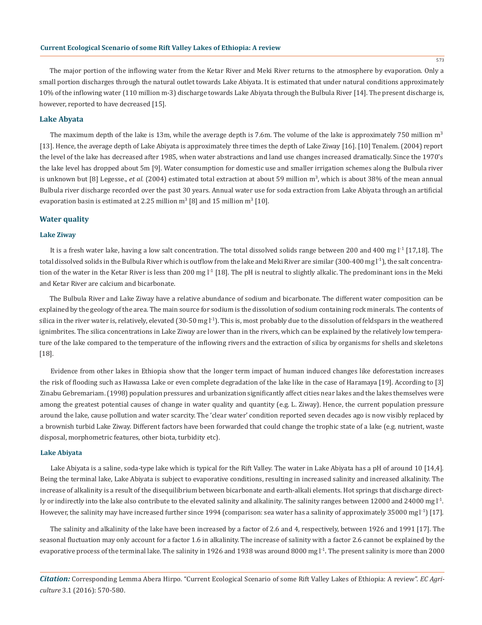573

The major portion of the inflowing water from the Ketar River and Meki River returns to the atmosphere by evaporation. Only a small portion discharges through the natural outlet towards Lake Abiyata. It is estimated that under natural conditions approximately 10% of the inflowing water (110 million m-3) discharge towards Lake Abiyata through the Bulbula River [14]. The present discharge is, however, reported to have decreased [15].

# **Lake Abyata**

The maximum depth of the lake is 13m, while the average depth is 7.6m. The volume of the lake is approximately 750 million  $m<sup>3</sup>$ [13]. Hence, the average depth of Lake Abiyata is approximately three times the depth of Lake Ziway [16]. [10] Tenalem. (2004) report the level of the lake has decreased after 1985, when water abstractions and land use changes increased dramatically. Since the 1970's the lake level has dropped about 5m [9]. Water consumption for domestic use and smaller irrigation schemes along the Bulbula river is unknown but [8] Legesse., *et al.* (2004) estimated total extraction at about 59 million m<sup>3</sup>, which is about 38% of the mean annual Bulbula river discharge recorded over the past 30 years. Annual water use for soda extraction from Lake Abiyata through an artificial evaporation basin is estimated at 2.25 million  $m^3$  [8] and 15 million  $m^3$  [10].

#### **Water quality**

#### **Lake Ziway**

It is a fresh water lake, having a low salt concentration. The total dissolved solids range between 200 and 400 mg l<sup>-1</sup> [17,18]. The total dissolved solids in the Bulbula River which is outflow from the lake and Meki River are similar (300-400 mg  $1^{-1}$ ), the salt concentration of the water in the Ketar River is less than 200 mg  $1^1$  [18]. The pH is neutral to slightly alkalic. The predominant ions in the Meki and Ketar River are calcium and bicarbonate.

The Bulbula River and Lake Ziway have a relative abundance of sodium and bicarbonate. The different water composition can be explained by the geology of the area. The main source for sodium is the dissolution of sodium containing rock minerals. The contents of silica in the river water is, relatively, elevated (30-50 mg  $\lfloor$ <sup>1</sup>). This is, most probably due to the dissolution of feldspars in the weathered ignimbrites. The silica concentrations in Lake Ziway are lower than in the rivers, which can be explained by the relatively low temperature of the lake compared to the temperature of the inflowing rivers and the extraction of silica by organisms for shells and skeletons [18].

Evidence from other lakes in Ethiopia show that the longer term impact of human induced changes like deforestation increases the risk of flooding such as Hawassa Lake or even complete degradation of the lake like in the case of Haramaya [19]. According to [3] Zinabu Gebremariam. (1998) population pressures and urbanization significantly affect cities near lakes and the lakes themselves were among the greatest potential causes of change in water quality and quantity (e.g. L. Ziway). Hence, the current population pressure around the lake, cause pollution and water scarcity. The 'clear water' condition reported seven decades ago is now visibly replaced by a brownish turbid Lake Ziway. Different factors have been forwarded that could change the trophic state of a lake (e.g. nutrient, waste disposal, morphometric features, other biota, turbidity etc).

#### **Lake Abiyata**

Lake Abiyata is a saline, soda-type lake which is typical for the Rift Valley. The water in Lake Abiyata has a pH of around 10 [14,4]. Being the terminal lake, Lake Abiyata is subject to evaporative conditions, resulting in increased salinity and increased alkalinity. The increase of alkalinity is a result of the disequilibrium between bicarbonate and earth-alkali elements. Hot springs that discharge directly or indirectly into the lake also contribute to the elevated salinity and alkalinity. The salinity ranges between 12000 and 24000 mg  $l<sup>-1</sup>$ . However, the salinity may have increased further since 1994 (comparison: sea water has a salinity of approximately 35000 mg  $l^1$ ) [17].

The salinity and alkalinity of the lake have been increased by a factor of 2.6 and 4, respectively, between 1926 and 1991 [17]. The seasonal fluctuation may only account for a factor 1.6 in alkalinity. The increase of salinity with a factor 2.6 cannot be explained by the evaporative process of the terminal lake. The salinity in 1926 and 1938 was around 8000 mg  $I<sup>1</sup>$ . The present salinity is more than 2000

*Citation:* Corresponding Lemma Abera Hirpo. "Current Ecological Scenario of some Rift Valley Lakes of Ethiopia: A review". *EC Agriculture* 3.1 (2016): 570-580.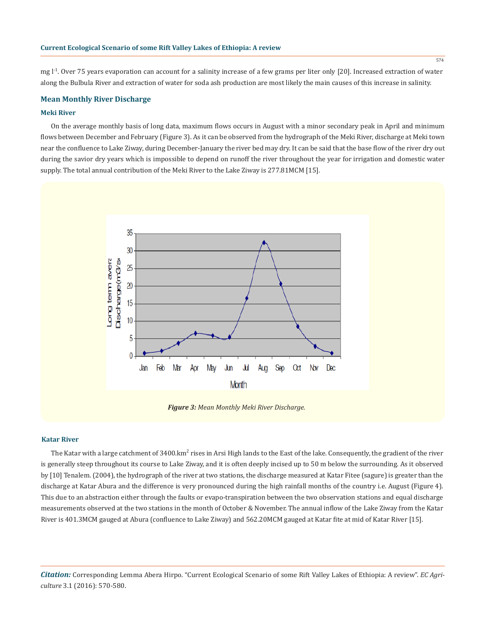mg  $l<sup>-1</sup>$ . Over 75 years evaporation can account for a salinity increase of a few grams per liter only [20]. Increased extraction of water along the Bulbula River and extraction of water for soda ash production are most likely the main causes of this increase in salinity.

#### **Mean Monthly River Discharge**

#### **Meki River**

On the average monthly basis of long data, maximum flows occurs in August with a minor secondary peak in April and minimum flows between December and February (Figure 3). As it can be observed from the hydrograph of the Meki River, discharge at Meki town near the confluence to Lake Ziway, during December-January the river bed may dry. It can be said that the base flow of the river dry out during the savior dry years which is impossible to depend on runoff the river throughout the year for irrigation and domestic water supply. The total annual contribution of the Meki River to the Lake Ziway is 277.81MCM [15].



*Figure 3: Mean Monthly Meki River Discharge.*

#### **Katar River**

The Katar with a large catchment of 3400.km<sup>2</sup> rises in Arsi High lands to the East of the lake. Consequently, the gradient of the river is generally steep throughout its course to Lake Ziway, and it is often deeply incised up to 50 m below the surrounding. As it observed by [10] Tenalem. (2004), the hydrograph of the river at two stations, the discharge measured at Katar Fitee (sagure) is greater than the discharge at Katar Abura and the difference is very pronounced during the high rainfall months of the country i.e. August (Figure 4). This due to an abstraction either through the faults or evapo-transpiration between the two observation stations and equal discharge measurements observed at the two stations in the month of October & November. The annual inflow of the Lake Ziway from the Katar River is 401.3MCM gauged at Abura (confluence to Lake Ziway) and 562.20MCM gauged at Katar fite at mid of Katar River [15].

*Citation:* Corresponding Lemma Abera Hirpo. "Current Ecological Scenario of some Rift Valley Lakes of Ethiopia: A review". *EC Agriculture* 3.1 (2016): 570-580.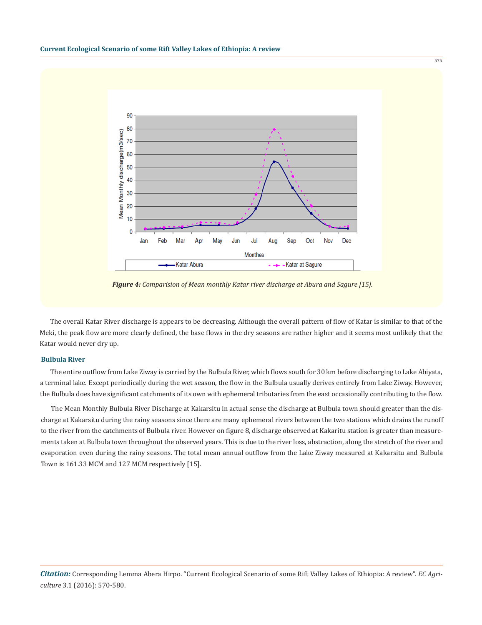

575

*Figure 4: Comparision of Mean monthly Katar river discharge at Abura and Sagure [15].*

The overall Katar River discharge is appears to be decreasing. Although the overall pattern of flow of Katar is similar to that of the Meki, the peak flow are more clearly defined, the base flows in the dry seasons are rather higher and it seems most unlikely that the Katar would never dry up.

## **Bulbula River**

The entire outflow from Lake Ziway is carried by the Bulbula River, which flows south for 30 km before discharging to Lake Abiyata, a terminal lake. Except periodically during the wet season, the flow in the Bulbula usually derives entirely from Lake Ziway. However, the Bulbula does have significant catchments of its own with ephemeral tributaries from the east occasionally contributing to the flow.

The Mean Monthly Bulbula River Discharge at Kakarsitu in actual sense the discharge at Bulbula town should greater than the discharge at Kakarsitu during the rainy seasons since there are many ephemeral rivers between the two stations which drains the runoff to the river from the catchments of Bulbula river. However on figure 8, discharge observed at Kakaritu station is greater than measurements taken at Bulbula town throughout the observed years. This is due to the river loss, abstraction, along the stretch of the river and evaporation even during the rainy seasons. The total mean annual outflow from the Lake Ziway measured at Kakarsitu and Bulbula Town is 161.33 MCM and 127 MCM respectively [15].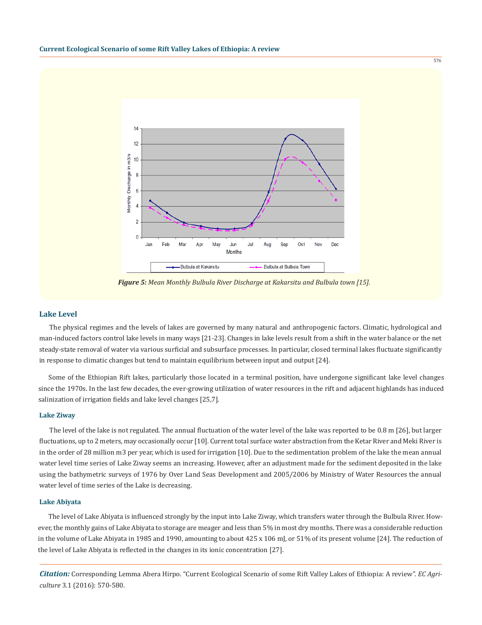

*Figure 5: Mean Monthly Bulbula River Discharge at Kakarsitu and Bulbula town [15].*

#### **Lake Level**

The physical regimes and the levels of lakes are governed by many natural and anthropogenic factors. Climatic, hydrological and man-induced factors control lake levels in many ways [21-23]. Changes in lake levels result from a shift in the water balance or the net steady-state removal of water via various surficial and subsurface processes. In particular, closed terminal lakes fluctuate significantly in response to climatic changes but tend to maintain equilibrium between input and output [24].

Some of the Ethiopian Rift lakes, particularly those located in a terminal position, have undergone significant lake level changes since the 1970s. In the last few decades, the ever-growing utilization of water resources in the rift and adjacent highlands has induced salinization of irrigation fields and lake level changes [25,7].

#### **Lake Ziway**

The level of the lake is not regulated. The annual fluctuation of the water level of the lake was reported to be 0.8 m [26], but larger fluctuations, up to 2 meters, may occasionally occur [10]. Current total surface water abstraction from the Ketar River and Meki River is in the order of 28 million m3 per year, which is used for irrigation [10]. Due to the sedimentation problem of the lake the mean annual water level time series of Lake Ziway seems an increasing. However, after an adjustment made for the sediment deposited in the lake using the bathymetric surveys of 1976 by Over Land Seas Development and 2005/2006 by Ministry of Water Resources the annual water level of time series of the Lake is decreasing.

#### **Lake Abiyata**

The level of Lake Abiyata is influenced strongly by the input into Lake Ziway, which transfers water through the Bulbula River. However, the monthly gains of Lake Abiyata to storage are meager and less than 5% in most dry months. There was a considerable reduction in the volume of Lake Abiyata in 1985 and 1990, amounting to about 425 x 106 mJ, or 51% of its present volume [24]. The reduction of the level of Lake Abiyata is reflected in the changes in its ionic concentration [27].

*Citation:* Corresponding Lemma Abera Hirpo. "Current Ecological Scenario of some Rift Valley Lakes of Ethiopia: A review". *EC Agriculture* 3.1 (2016): 570-580.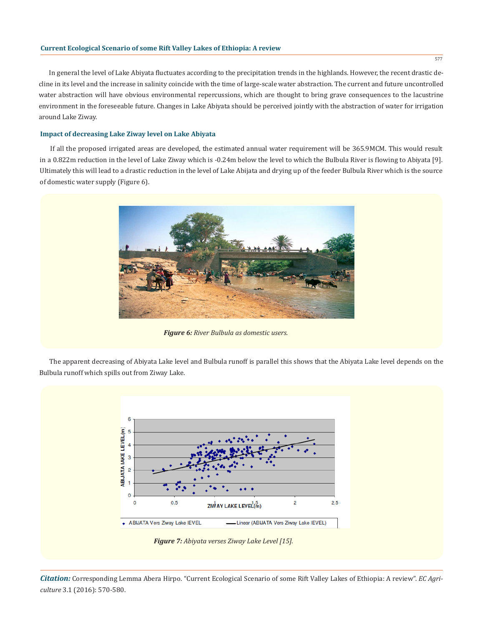## **Current Ecological Scenario of some Rift Valley Lakes of Ethiopia: A review**

In general the level of Lake Abiyata fluctuates according to the precipitation trends in the highlands. However, the recent drastic decline in its level and the increase in salinity coincide with the time of large-scale water abstraction. The current and future uncontrolled water abstraction will have obvious environmental repercussions, which are thought to bring grave consequences to the lacustrine environment in the foreseeable future. Changes in Lake Abiyata should be perceived jointly with the abstraction of water for irrigation around Lake Ziway.

## **Impact of decreasing Lake Ziway level on Lake Abiyata**

If all the proposed irrigated areas are developed, the estimated annual water requirement will be 365.9MCM. This would result in a 0.822m reduction in the level of Lake Ziway which is -0.24m below the level to which the Bulbula River is flowing to Abiyata [9]. Ultimately this will lead to a drastic reduction in the level of Lake Abijata and drying up of the feeder Bulbula River which is the source of domestic water supply (Figure 6).



*Figure 6: River Bulbula as domestic users.*

The apparent decreasing of Abiyata Lake level and Bulbula runoff is parallel this shows that the Abiyata Lake level depends on the Bulbula runoff which spills out from Ziway Lake.

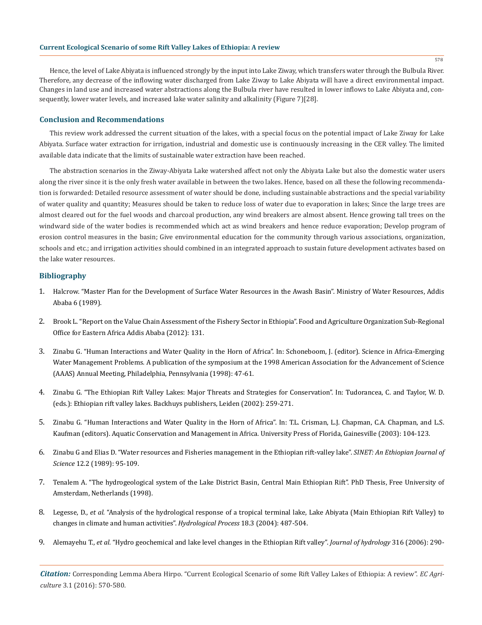Hence, the level of Lake Abiyata is influenced strongly by the input into Lake Ziway, which transfers water through the Bulbula River. Therefore, any decrease of the inflowing water discharged from Lake Ziway to Lake Abiyata will have a direct environmental impact. Changes in land use and increased water abstractions along the Bulbula river have resulted in lower inflows to Lake Abiyata and, consequently, lower water levels, and increased lake water salinity and alkalinity (Figure 7)[28].

# **Conclusion and Recommendations**

This review work addressed the current situation of the lakes, with a special focus on the potential impact of Lake Ziway for Lake Abiyata. Surface water extraction for irrigation, industrial and domestic use is continuously increasing in the CER valley. The limited available data indicate that the limits of sustainable water extraction have been reached.

The abstraction scenarios in the Ziway-Abiyata Lake watershed affect not only the Abiyata Lake but also the domestic water users along the river since it is the only fresh water available in between the two lakes. Hence, based on all these the following recommendation is forwarded: Detailed resource assessment of water should be done, including sustainable abstractions and the special variability of water quality and quantity; Measures should be taken to reduce loss of water due to evaporation in lakes; Since the large trees are almost cleared out for the fuel woods and charcoal production, any wind breakers are almost absent. Hence growing tall trees on the windward side of the water bodies is recommended which act as wind breakers and hence reduce evaporation; Develop program of erosion control measures in the basin; Give environmental education for the community through various associations, organization, schools and etc.; and irrigation activities should combined in an integrated approach to sustain future development activates based on the lake water resources.

# **Bibliography**

- 1. Halcrow. "Master Plan for the Development of Surface Water Resources in the Awash Basin". Ministry of Water Resources, Addis Ababa 6 (1989).
- 2. Brook L. "Report on the Value Chain Assessment of the Fishery Sector in Ethiopia". Food and Agriculture Organization Sub-Regional Office for Eastern Africa Addis Ababa (2012): 131.
- 3. Zinabu G. "Human Interactions and Water Quality in the Horn of Africa". In: Schoneboom, J. (editor). Science in Africa-Emerging Water Management Problems*.* A publication of the symposium at the 1998 American Association for the Advancement of Science (AAAS) Annual Meeting, Philadelphia, Pennsylvania (1998): 47-61.
- 4. Zinabu G. "The Ethiopian Rift Valley Lakes: Major Threats and Strategies for Conservation". In: Tudorancea, C. and Taylor, W. D. (eds.): Ethiopian rift valley lakes. Backhuys publishers, Leiden (2002): 259-271.
- 5. Zinabu G. "Human Interactions and Water Quality in the Horn of Africa". In: T.L. Crisman, L.J. Chapman, C.A. Chapman, and L.S. Kaufman (editors). Aquatic Conservation and Management in Africa*.* University Press of Florida, Gainesville (2003): 104-123.
- 6. Zinabu G and Elias D. "Water resources and Fisheries management in the Ethiopian rift-valley lake". *SINET: An Ethiopian Journal of Science* 12.2 (1989): 95-109.
- 7. Tenalem A. "The hydrogeological system of the Lake District Basin, Central Main Ethiopian Rift". PhD Thesis, Free University of Amsterdam, Netherlands (1998).
- 8. Legesse, D., *et al.* "Analysis of the hydrological response of a tropical terminal lake, Lake Abiyata (Main Ethiopian Rift Valley) to changes in climate and human activities". *Hydrological Process* 18.3 (2004): 487-504.
- 9. Alemayehu T., *et al.* "Hydro geochemical and lake level changes in the Ethiopian Rift valley". *Journal of hydrology* 316 (2006): 290-

*Citation:* Corresponding Lemma Abera Hirpo. "Current Ecological Scenario of some Rift Valley Lakes of Ethiopia: A review". *EC Agriculture* 3.1 (2016): 570-580.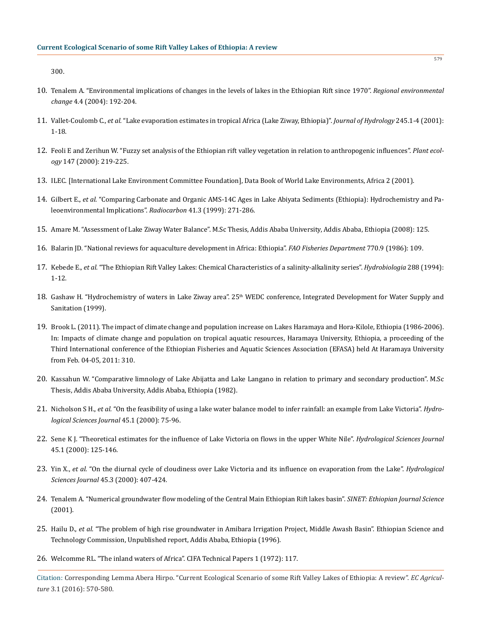300.

- 10. Tenalem A. "Environmental implications of changes in the levels of lakes in the Ethiopian Rift since 1970". *Regional environmental change* 4.4 (2004): 192-204.
- 11. Vallet-Coulomb C., *et al.* "Lake evaporation estimates in tropical Africa (Lake Ziway, Ethiopia)". *Journal of Hydrology* 245.1-4 (2001): 1-18.
- 12. Feoli E and Zerihun W. "Fuzzy set analysis of the Ethiopian rift valley vegetation in relation to anthropogenic influences". *Plant ecology* 147 (2000): 219-225.
- 13. ILEC. [International Lake Environment Committee Foundation], Data Book of World Lake Environments, Africa 2 (2001).
- 14. Gilbert E., *et al.* "Comparing Carbonate and Organic AMS-14C Ages in Lake Abiyata Sediments (Ethiopia): Hydrochemistry and Paleoenvironmental Implications". *Radiocarbon* 41.3 (1999): 271-286.
- 15. Amare M. "Assessment of Lake Ziway Water Balance". M.Sc Thesis, Addis Ababa University, Addis Ababa, Ethiopia (2008): 125.
- 16. Balarin JD. "National reviews for aquaculture development in Africa: Ethiopia". *FAO Fisheries Department* 770.9 (1986): 109.
- 17. Kebede E., *et al.* "The Ethiopian Rift Valley Lakes: Chemical Characteristics of a salinity-alkalinity series". *Hydrobiologia* 288 (1994): 1-12.
- 18. Gashaw H. "Hydrochemistry of waters in Lake Ziway area". 25<sup>th</sup> WEDC conference, Integrated Development for Water Supply and Sanitation (1999).
- 19. Brook L. (2011). The impact of climate change and population increase on Lakes Haramaya and Hora-Kilole, Ethiopia (1986-2006). In: Impacts of climate change and population on tropical aquatic resources, Haramaya University, Ethiopia, a proceeding of the Third International conference of the Ethiopian Fisheries and Aquatic Sciences Association (EFASA) held At Haramaya University from Feb. 04-05, 2011: 310.
- 20. Kassahun W. "Comparative limnology of Lake Abijatta and Lake Langano in relation to primary and secondary production". M.Sc Thesis, Addis Ababa University, Addis Ababa, Ethiopia (1982).
- 21. Nicholson S H., *et al.* "On the feasibility of using a lake water balance model to infer rainfall: an example from Lake Victoria". *Hydrological Sciences Journal* 45.1 (2000): 75-96.
- 22. Sene K J. "Theoretical estimates for the influence of Lake Victoria on flows in the upper White Nile". *Hydrological Sciences Journal*  45.1 (2000): 125-146.
- 23. Yin X., *et al.* "On the diurnal cycle of cloudiness over Lake Victoria and its influence on evaporation from the Lake". *Hydrological Sciences Journal* 45.3 (2000): 407-424.
- 24. Tenalem A. "Numerical groundwater flow modeling of the Central Main Ethiopian Rift lakes basin". *SINET: Ethiopian Journal Science* (2001).
- 25. Hailu D., *et al.* "The problem of high rise groundwater in Amibara Irrigation Project, Middle Awash Basin". Ethiopian Science and Technology Commission, Unpublished report, Addis Ababa, Ethiopia (1996).
- 26. Welcomme RL. "The inland waters of Africa". CIFA Technical Papers 1 (1972): 117.

Citation: Corresponding Lemma Abera Hirpo. "Current Ecological Scenario of some Rift Valley Lakes of Ethiopia: A review". *EC Agriculture* 3.1 (2016): 570-580.